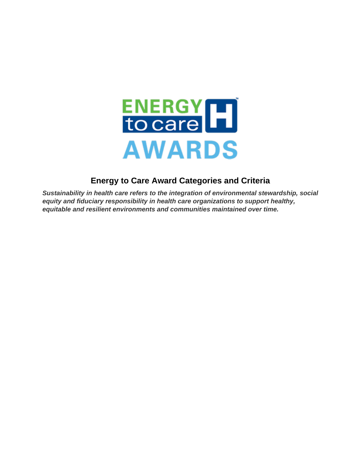

### **Energy to Care Award Categories and Criteria**

*Sustainability in health care refers to the integration of environmental stewardship, social equity and fiduciary responsibility in health care organizations to support healthy, equitable and resilient environments and communities maintained over time.*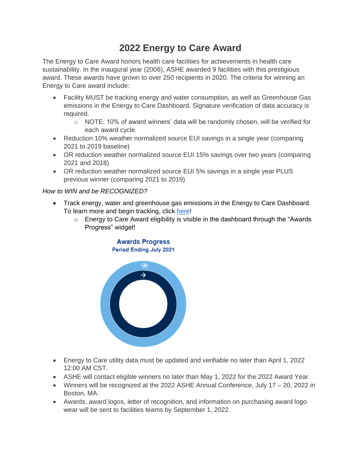# **2022 Energy to Care Award**

The Energy to Care Award honors health care facilities for achievements in health care sustainability. In the inaugural year (2006), ASHE awarded 9 facilities with this prestigious award. These awards have grown to over 250 recipients in 2020. The criteria for winning an Energy to Care award include:

- Facility MUST be tracking energy and water consumption, as well as Greenhouse Gas emissions in the Energy to Care Dashboard. Signature verification of data accuracy is required.
	- $\circ$  NOTE: 10% of award winners' data will be randomly chosen, will be verified for each award cycle.
- Reduction 10% weather normalized source EUI savings in a single year (comparing 2021 to 2019 baseline)
- OR reduction weather normalized source EUI 15% savings over two years (comparing 2021 and 2018)
- OR reduction weather normalized source EUI 5% savings in a single year PLUS previous winner (comparing 2021 to 2019)

*How to WIN and be RECOGNIZED?*

- Track energy, water and greenhouse gas emissions in the Energy to Care Dashboard. To learn more and begin tracking, click [here!](http://www.energytocare.org/dashboard)
	- $\circ$  Energy to Care Award eligibility is visible in the dashboard through the "Awards" Progress" widget!

#### **Awards Progress** Period Ending July 2021



- Energy to Care utility data must be updated and verifiable no later than April 1, 2022 12:00 AM CST.
- ASHE will contact eligible winners no later than May 1, 2022 for the 2022 Award Year.
- Winners will be recognized at the 2022 ASHE Annual Conference, July 17 20, 2022 in Boston, MA.
- Awards, award logos, letter of recognition, and information on purchasing award logo wear will be sent to facilities teams by September 1, 2022.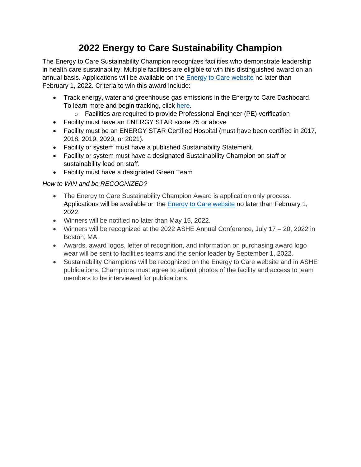# **2022 Energy to Care Sustainability Champion**

The Energy to Care Sustainability Champion recognizes facilities who demonstrate leadership in health care sustainability. Multiple facilities are eligible to win this distinguished award on an annual basis. Applications will be available on the [Energy to Care website](https://www.energytocare.org/energy-care-champion-award) no later than February 1, 2022. Criteria to win this award include:

- Track energy, water and greenhouse gas emissions in the Energy to Care Dashboard. To learn more and begin tracking, click [here.](http://www.energytocare.org/dashboard)
	- o Facilities are required to provide Professional Engineer (PE) verification
- Facility must have an ENERGY STAR score 75 or above
- Facility must be an ENERGY STAR Certified Hospital (must have been certified in 2017, 2018, 2019, 2020, or 2021).
- Facility or system must have a published Sustainability Statement.
- Facility or system must have a designated Sustainability Champion on staff or sustainability lead on staff.
- Facility must have a designated Green Team

#### *How to WIN and be RECOGNIZED?*

- The Energy to Care Sustainability Champion Award is application only process. Applications will be available on the **Energy to Care website no later than February 1**, 2022.
- Winners will be notified no later than May 15, 2022.
- Winners will be recognized at the 2022 ASHE Annual Conference, July 17 20, 2022 in Boston, MA.
- Awards, award logos, letter of recognition, and information on purchasing award logo wear will be sent to facilities teams and the senior leader by September 1, 2022.
- Sustainability Champions will be recognized on the Energy to Care website and in ASHE publications. Champions must agree to submit photos of the facility and access to team members to be interviewed for publications.